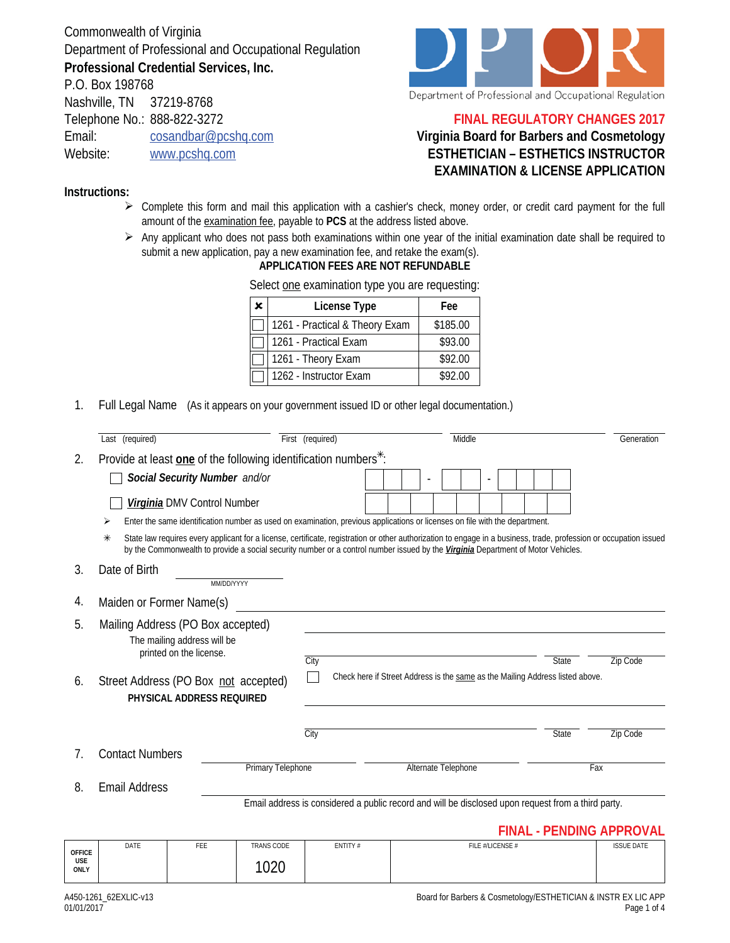Commonwealth of Virginia Department of Professional and Occupational Regulation **Professional Credential Services, Inc.**

P.O. Box 198768 Nashville, TN 37219-8768 Telephone No.: 888-822-3272 Email: cosandbar@pcshq.com Website: www.pcshq.com



### **FINAL REGULATORY CHANGES 2017**

## **Virginia Board for Barbers and Cosmetology ESTHETICIAN – ESTHETICS INSTRUCTOR EXAMINATION & LICENSE APPLICATION**

#### **Instructions:**

- $\triangleright$  Complete this form and mail this application with a cashier's check, money order, or credit card payment for the full amount of the examination fee, payable to **PCS** at the address listed above.
- $\triangleright$  Any applicant who does not pass both examinations within one year of the initial examination date shall be required to submit a new application, pay a new examination fee, and retake the exam(s).

#### **APPLICATION FEES ARE NOT REFUNDABLE**

| ĸ. | License Type                   | Fee      |
|----|--------------------------------|----------|
|    | 1261 - Practical & Theory Exam | \$185.00 |
|    | 1261 - Practical Exam          | \$93.00  |
|    | 1261 - Theory Exam             | \$92.00  |
|    | 1262 - Instructor Exam         | \$92.00  |

Select one examination type you are requesting:

1. Full Legal Name (As it appears on your government issued ID or other legal documentation.)

|             | Last (required)                                                                                                                                                                                                                                                                                             |                          | First (required)                                                                                   | Middle |  |                     |                          |                                                                                               |     | Generation                      |
|-------------|-------------------------------------------------------------------------------------------------------------------------------------------------------------------------------------------------------------------------------------------------------------------------------------------------------------|--------------------------|----------------------------------------------------------------------------------------------------|--------|--|---------------------|--------------------------|-----------------------------------------------------------------------------------------------|-----|---------------------------------|
| 2.          | Provide at least one of the following identification numbers <sup>*</sup> :                                                                                                                                                                                                                                 |                          |                                                                                                    |        |  |                     |                          |                                                                                               |     |                                 |
|             | Social Security Number and/or                                                                                                                                                                                                                                                                               |                          |                                                                                                    |        |  |                     | $\overline{\phantom{a}}$ |                                                                                               |     |                                 |
|             | Virginia DMV Control Number                                                                                                                                                                                                                                                                                 |                          |                                                                                                    |        |  |                     |                          |                                                                                               |     |                                 |
|             | Enter the same identification number as used on examination, previous applications or licenses on file with the department.<br>⋗                                                                                                                                                                            |                          |                                                                                                    |        |  |                     |                          |                                                                                               |     |                                 |
|             | State law requires every applicant for a license, certificate, registration or other authorization to engage in a business, trade, profession or occupation issued<br>⋇<br>by the Commonwealth to provide a social security number or a control number issued by the Virginia Department of Motor Vehicles. |                          |                                                                                                    |        |  |                     |                          |                                                                                               |     |                                 |
| 3.          | Date of Birth                                                                                                                                                                                                                                                                                               | MM/DD/YYYY               |                                                                                                    |        |  |                     |                          |                                                                                               |     |                                 |
| 4.          | Maiden or Former Name(s)                                                                                                                                                                                                                                                                                    |                          |                                                                                                    |        |  |                     |                          |                                                                                               |     |                                 |
| 5.          | Mailing Address (PO Box accepted)<br>The mailing address will be<br>printed on the license.                                                                                                                                                                                                                 |                          |                                                                                                    |        |  |                     |                          |                                                                                               |     |                                 |
| 6.          | Street Address (PO Box not accepted)<br>PHYSICAL ADDRESS REQUIRED                                                                                                                                                                                                                                           |                          | City                                                                                               |        |  |                     |                          | <b>State</b><br>Check here if Street Address is the same as the Mailing Address listed above. |     | Zip Code                        |
|             |                                                                                                                                                                                                                                                                                                             |                          | City                                                                                               |        |  |                     |                          | <b>State</b>                                                                                  |     | Zip Code                        |
| $7_{\cdot}$ | <b>Contact Numbers</b>                                                                                                                                                                                                                                                                                      | <b>Primary Telephone</b> |                                                                                                    |        |  | Alternate Telephone |                          |                                                                                               | Fax |                                 |
| 8.          | <b>Email Address</b>                                                                                                                                                                                                                                                                                        |                          |                                                                                                    |        |  |                     |                          |                                                                                               |     |                                 |
|             |                                                                                                                                                                                                                                                                                                             |                          | Email address is considered a public record and will be disclosed upon request from a third party. |        |  |                     |                          |                                                                                               |     | <b>FINAL - PENDING APPROVAL</b> |

| <b>OFFICE</b>      | DATE | FEE | <b>TRANS CODE</b> | ENTITY # | FILE #/LICENSE # | <b>ISSUE DATE</b> |
|--------------------|------|-----|-------------------|----------|------------------|-------------------|
| <b>USE</b><br>ONLY |      |     | 10 $20$<br>◡∠◡    |          |                  |                   |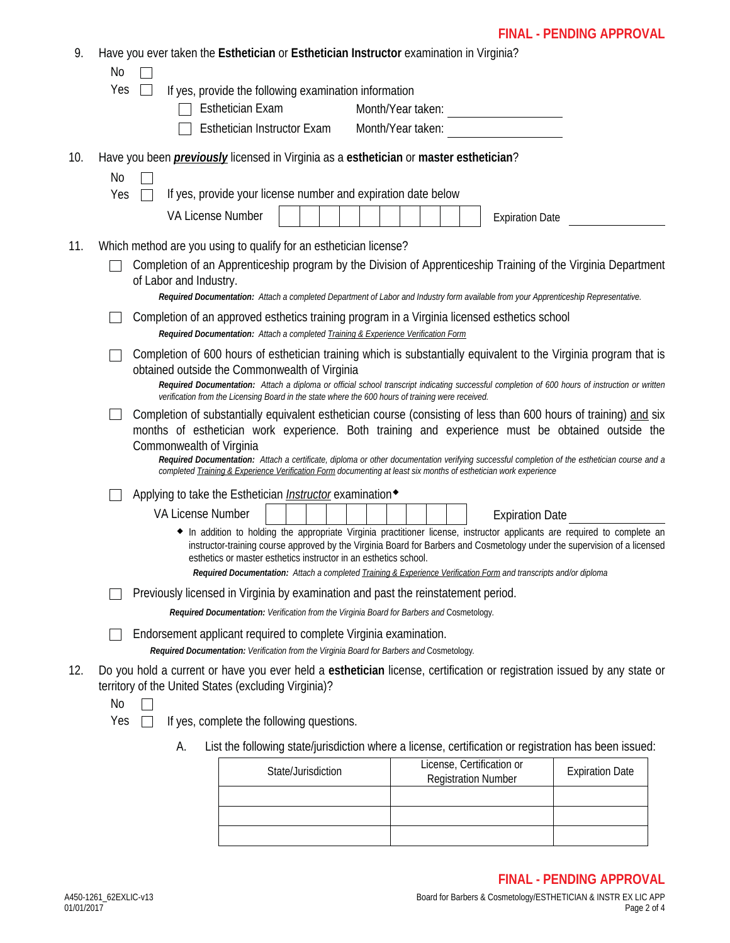# **FINAL - PENDING APPROVAL**

| 9.  |     |                          | Have you ever taken the Esthetician or Esthetician Instructor examination in Virginia?                                                                        |                    |  |  |  |                                                                                                                          |                                                                                                                                                                                                                                                        |  |
|-----|-----|--------------------------|---------------------------------------------------------------------------------------------------------------------------------------------------------------|--------------------|--|--|--|--------------------------------------------------------------------------------------------------------------------------|--------------------------------------------------------------------------------------------------------------------------------------------------------------------------------------------------------------------------------------------------------|--|
|     | No  |                          |                                                                                                                                                               |                    |  |  |  |                                                                                                                          |                                                                                                                                                                                                                                                        |  |
|     | Yes |                          | If yes, provide the following examination information                                                                                                         |                    |  |  |  |                                                                                                                          |                                                                                                                                                                                                                                                        |  |
|     |     |                          | <b>Esthetician Exam</b><br>Esthetician Instructor Exam                                                                                                        |                    |  |  |  | Month/Year taken:                                                                                                        |                                                                                                                                                                                                                                                        |  |
|     |     |                          |                                                                                                                                                               |                    |  |  |  |                                                                                                                          |                                                                                                                                                                                                                                                        |  |
| 10. |     |                          | Have you been <i>previously</i> licensed in Virginia as a esthetician or master esthetician?                                                                  |                    |  |  |  |                                                                                                                          |                                                                                                                                                                                                                                                        |  |
|     | No  |                          |                                                                                                                                                               |                    |  |  |  |                                                                                                                          |                                                                                                                                                                                                                                                        |  |
|     | Yes | VA License Number        | If yes, provide your license number and expiration date below                                                                                                 |                    |  |  |  |                                                                                                                          |                                                                                                                                                                                                                                                        |  |
|     |     |                          |                                                                                                                                                               |                    |  |  |  | <b>Expiration Date</b>                                                                                                   |                                                                                                                                                                                                                                                        |  |
| 11. |     |                          | Which method are you using to qualify for an esthetician license?                                                                                             |                    |  |  |  |                                                                                                                          |                                                                                                                                                                                                                                                        |  |
|     |     | of Labor and Industry.   |                                                                                                                                                               |                    |  |  |  |                                                                                                                          | Completion of an Apprenticeship program by the Division of Apprenticeship Training of the Virginia Department                                                                                                                                          |  |
|     |     |                          |                                                                                                                                                               |                    |  |  |  |                                                                                                                          | Required Documentation: Attach a completed Department of Labor and Industry form available from your Apprenticeship Representative.                                                                                                                    |  |
|     |     |                          | Required Documentation: Attach a completed Training & Experience Verification Form                                                                            |                    |  |  |  | Completion of an approved esthetics training program in a Virginia licensed esthetics school                             |                                                                                                                                                                                                                                                        |  |
|     |     |                          |                                                                                                                                                               |                    |  |  |  |                                                                                                                          | Completion of 600 hours of esthetician training which is substantially equivalent to the Virginia program that is                                                                                                                                      |  |
|     |     |                          | obtained outside the Commonwealth of Virginia                                                                                                                 |                    |  |  |  |                                                                                                                          | Required Documentation: Attach a diploma or official school transcript indicating successful completion of 600 hours of instruction or written                                                                                                         |  |
|     |     |                          | verification from the Licensing Board in the state where the 600 hours of training were received.                                                             |                    |  |  |  |                                                                                                                          |                                                                                                                                                                                                                                                        |  |
|     |     | Commonwealth of Virginia |                                                                                                                                                               |                    |  |  |  |                                                                                                                          | Completion of substantially equivalent esthetician course (consisting of less than 600 hours of training) and six<br>months of esthetician work experience. Both training and experience must be obtained outside the                                  |  |
|     |     |                          |                                                                                                                                                               |                    |  |  |  | completed Training & Experience Verification Form documenting at least six months of esthetician work experience         | Required Documentation: Attach a certificate, diploma or other documentation verifying successful completion of the esthetician course and a                                                                                                           |  |
|     |     |                          | Applying to take the Esthetician <i>Instructor</i> examination <sup>◆</sup>                                                                                   |                    |  |  |  |                                                                                                                          |                                                                                                                                                                                                                                                        |  |
|     |     | <b>VA License Number</b> |                                                                                                                                                               |                    |  |  |  | <b>Expiration Date</b>                                                                                                   |                                                                                                                                                                                                                                                        |  |
|     |     |                          | esthetics or master esthetics instructor in an esthetics school.                                                                                              |                    |  |  |  | <b>Required Documentation:</b> Attach a completed Training & Experience Verification Form and transcripts and/or diploma | • In addition to holding the appropriate Virginia practitioner license, instructor applicants are required to complete an<br>instructor-training course approved by the Virginia Board for Barbers and Cosmetology under the supervision of a licensed |  |
|     |     |                          | Previously licensed in Virginia by examination and past the reinstatement period.                                                                             |                    |  |  |  |                                                                                                                          |                                                                                                                                                                                                                                                        |  |
|     |     |                          | Required Documentation: Verification from the Virginia Board for Barbers and Cosmetology.                                                                     |                    |  |  |  |                                                                                                                          |                                                                                                                                                                                                                                                        |  |
|     |     |                          | Endorsement applicant required to complete Virginia examination.<br>Required Documentation: Verification from the Virginia Board for Barbers and Cosmetology. |                    |  |  |  |                                                                                                                          |                                                                                                                                                                                                                                                        |  |
| 12. |     |                          |                                                                                                                                                               |                    |  |  |  |                                                                                                                          | Do you hold a current or have you ever held a esthetician license, certification or registration issued by any state or                                                                                                                                |  |
|     |     |                          | territory of the United States (excluding Virginia)?                                                                                                          |                    |  |  |  |                                                                                                                          |                                                                                                                                                                                                                                                        |  |
|     | No  |                          |                                                                                                                                                               |                    |  |  |  |                                                                                                                          |                                                                                                                                                                                                                                                        |  |
|     | Yes |                          | If yes, complete the following questions.                                                                                                                     |                    |  |  |  |                                                                                                                          |                                                                                                                                                                                                                                                        |  |
|     |     | А.                       |                                                                                                                                                               |                    |  |  |  |                                                                                                                          | List the following state/jurisdiction where a license, certification or registration has been issued:                                                                                                                                                  |  |
|     |     |                          |                                                                                                                                                               | State/Jurisdiction |  |  |  | License, Certification or<br><b>Registration Number</b>                                                                  | <b>Expiration Date</b>                                                                                                                                                                                                                                 |  |
|     |     |                          |                                                                                                                                                               |                    |  |  |  |                                                                                                                          |                                                                                                                                                                                                                                                        |  |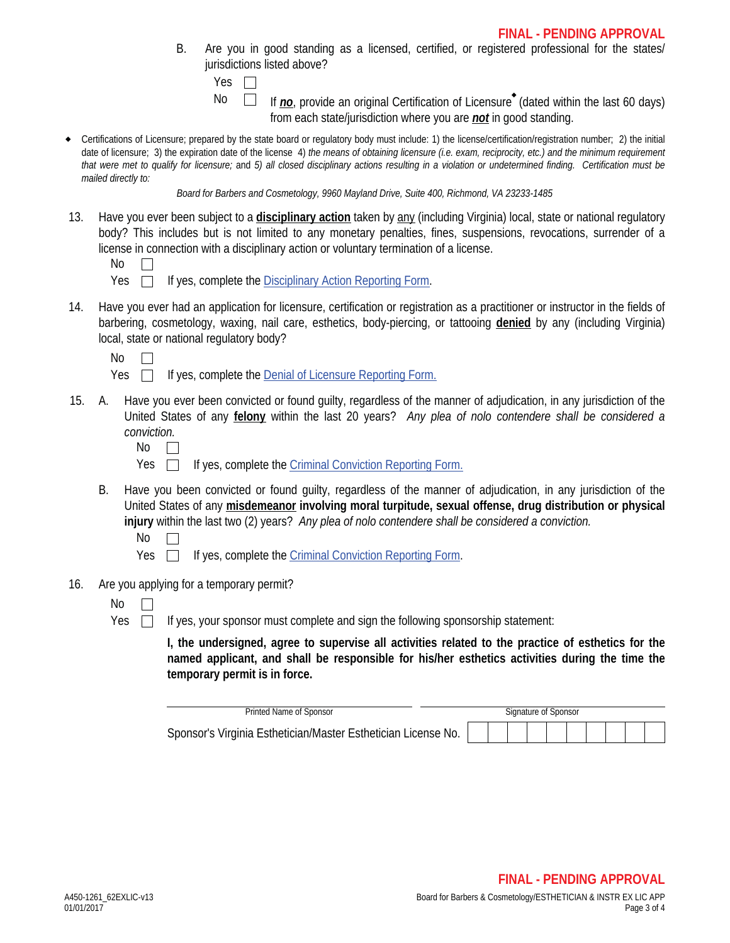B. Are you in good standing as a licensed, certified, or registered professional for the states/ jurisdictions listed above?

| ۰,<br>٠ |  |
|---------|--|
|         |  |

No  $\Box$  If  $\underline{\textit{no}}$ , provide an original Certification of Licensure<sup>\*</sup> (dated within the last 60 days) from each state/jurisdiction where you are *not* in good standing.

 Certifications of Licensure; prepared by the state board or regulatory body must include: 1) the license/certification/registration number; 2) the initial date of licensure; 3) the expiration date of the license 4) *the means of obtaining licensure (i.e. exam, reciprocity, etc.) and the minimum requirement that were met to qualify for licensure;* and *5) all closed disciplinary actions resulting in a violation or undetermined finding. Certification must be mailed directly to:*

*Board for Barbers and Cosmetology, 9960 Mayland Drive, Suite 400, Richmond, VA 23233-1485*

13. Have you ever been subject to a **disciplinary action** taken by any (including Virginia) local, state or national regulatory body? This includes but is not limited to any monetary penalties, fines, suspensions, revocations, surrender of a license in connection with a disciplinary action or voluntary termination of a license.

| M.<br>٠ |
|---------|
|---------|

- Yes  $\Box$  If yes, complete the Disciplinary Action Reporting Form.
- 14. Have you ever had an application for licensure, certification or registration as a practitioner or instructor in the fields of barbering, cosmetology, waxing, nail care, esthetics, body-piercing, or tattooing **denied** by any (including Virginia) local, state or national regulatory body?

No  $\Box$ 

| Yes |  | If yes, complete the <b>Denial of Licensure Reporting Form.</b> |  |  |
|-----|--|-----------------------------------------------------------------|--|--|
|     |  |                                                                 |  |  |

- Have you ever been convicted or found quilty, regardless of the manner of adjudication, in any jurisdiction of the United States of any **felony** within the last 20 years? *Any plea of nolo contendere shall be considered a conviction.* 15.
	- No  $\Box$
	- Yes  $\Box$ If yes, complete the Criminal Conviction Reporting Form.
	- B. Have you been convicted or found guilty, regardless of the manner of adjudication, in any jurisdiction of the United States of any **misdemeanor involving moral turpitude, sexual offense, drug distribution or physical injury** within the last two (2) years? *Any plea of nolo contendere shall be considered a conviction.*
		- No  $\Box$
		- Yes  $\Box$ If yes, complete the Criminal Conviction Reporting Form.
- 16. Are you applying for a temporary permit?
	- No  $\Box$
	- Yes  $\Box$

If yes, your sponsor must complete and sign the following sponsorship statement:

**I, the undersigned, agree to supervise all activities related to the practice of esthetics for the named applicant, and shall be responsible for his/her esthetics activities during the time the temporary permit is in force.**

| Printed Name of Sponsor                                       |  |  | Signature of Sponsor |  |  |  |
|---------------------------------------------------------------|--|--|----------------------|--|--|--|
| Sponsor's Virginia Esthetician/Master Esthetician License No. |  |  |                      |  |  |  |